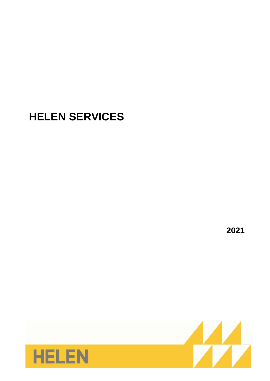# **HELEN SERVICES**

**2021**

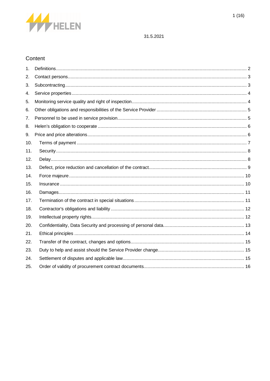

# Content

| 1.  |  |
|-----|--|
| 2.  |  |
| 3.  |  |
| 4.  |  |
| 5.  |  |
| 6.  |  |
| 7.  |  |
| 8.  |  |
| 9.  |  |
| 10. |  |
| 11. |  |
| 12. |  |
| 13. |  |
| 14. |  |
| 15. |  |
| 16. |  |
| 17. |  |
| 18. |  |
| 19. |  |
| 20. |  |
| 21. |  |
| 22. |  |
| 23. |  |
| 24. |  |
| 25. |  |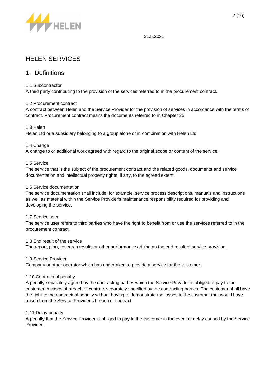

# HELEN SERVICES

### 1. Definitions

#### 1.1 Subcontractor

A third party contributing to the provision of the services referred to in the procurement contract.

#### 1.2 Procurement contract

A contract between Helen and the Service Provider for the provision of services in accordance with the terms of contract. Procurement contract means the documents referred to in Chapter 25.

#### 1.3 Helen

Helen Ltd or a subsidiary belonging to a group alone or in combination with Helen Ltd.

#### 1.4 Change

A change to or additional work agreed with regard to the original scope or content of the service.

#### 1.5 Service

The service that is the subject of the procurement contract and the related goods, documents and service documentation and intellectual property rights, if any, to the agreed extent.

#### 1.6 Service documentation

The service documentation shall include, for example, service process descriptions, manuals and instructions as well as material within the Service Provider's maintenance responsibility required for providing and developing the service.

#### 1.7 Service user

The service user refers to third parties who have the right to benefit from or use the services referred to in the procurement contract.

#### 1.8 End result of the service

The report, plan, research results or other performance arising as the end result of service provision.

#### 1.9 Service Provider

Company or other operator which has undertaken to provide a service for the customer.

#### 1.10 Contractual penalty

A penalty separately agreed by the contracting parties which the Service Provider is obliged to pay to the customer in cases of breach of contract separately specified by the contracting parties. The customer shall have the right to the contractual penalty without having to demonstrate the losses to the customer that would have arisen from the Service Provider's breach of contract.

#### 1.11 Delay penalty

A penalty that the Service Provider is obliged to pay to the customer in the event of delay caused by the Service Provider.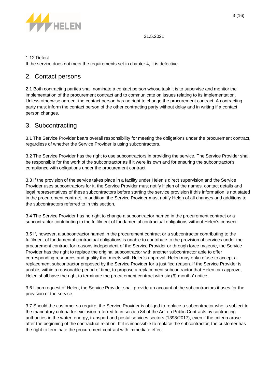

#### 1.12 Defect

If the service does not meet the requirements set in chapter 4, it is defective.

### 2. Contact persons

2.1 Both contracting parties shall nominate a contact person whose task it is to supervise and monitor the implementation of the procurement contract and to communicate on issues relating to its implementation. Unless otherwise agreed, the contact person has no right to change the procurement contract. A contracting party must inform the contact person of the other contracting party without delay and in writing if a contact person changes.

### 3. Subcontracting

3.1 The Service Provider bears overall responsibility for meeting the obligations under the procurement contract, regardless of whether the Service Provider is using subcontractors.

3.2 The Service Provider has the right to use subcontractors in providing the service. The Service Provider shall be responsible for the work of the subcontractor as if it were its own and for ensuring the subcontractor's compliance with obligations under the procurement contract.

3.3 If the provision of the service takes place in a facility under Helen's direct supervision and the Service Provider uses subcontractors for it, the Service Provider must notify Helen of the names, contact details and legal representatives of these subcontractors before starting the service provision if this information is not stated in the procurement contract. In addition, the Service Provider must notify Helen of all changes and additions to the subcontractors referred to in this section.

3.4 The Service Provider has no right to change a subcontractor named in the procurement contract or a subcontractor contributing to the fulfilment of fundamental contractual obligations without Helen's consent.

3.5 If, however, a subcontractor named in the procurement contract or a subcontractor contributing to the fulfilment of fundamental contractual obligations is unable to contribute to the provision of services under the procurement contract for reasons independent of the Service Provider or through force majeure, the Service Provider has the right to replace the original subcontractor with another subcontractor able to offer corresponding resources and quality that meets with Helen's approval. Helen may only refuse to accept a replacement subcontractor proposed by the Service Provider for a justified reason. If the Service Provider is unable, within a reasonable period of time, to propose a replacement subcontractor that Helen can approve, Helen shall have the right to terminate the procurement contract with six (6) months' notice.

3.6 Upon request of Helen, the Service Provider shall provide an account of the subcontractors it uses for the provision of the service.

3.7 Should the customer so require, the Service Provider is obliged to replace a subcontractor who is subject to the mandatory criteria for exclusion referred to in section 84 of the Act on Public Contracts by contracting authorities in the water, energy, transport and postal services sectors (1398/2017), even if the criteria arose after the beginning of the contractual relation. If it is impossible to replace the subcontractor, the customer has the right to terminate the procurement contract with immediate effect.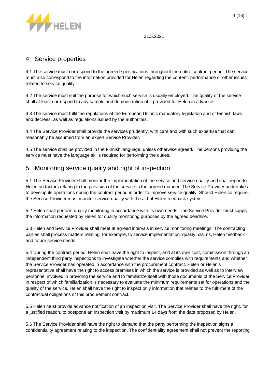

### 4. Service properties

4.1 The service must correspond to the agreed specifications throughout the entire contract period. The service must also correspond to the information provided for Helen regarding the content, performance or other issues related to service quality.

4.2 The service must suit the purpose for which such service is usually employed. The quality of the service shall at least correspond to any sample and demonstration of it provided for Helen in advance.

4.3 The service must fulfil the regulations of the European Union's mandatory legislation and of Finnish laws and decrees, as well as regulations issued by the authorities.

4.4 The Service Provider shall provide the services prudently, with care and with such expertise that can reasonably be assumed from an expert Service Provider.

4.5 The service shall be provided in the Finnish language, unless otherwise agreed. The persons providing the service must have the language skills required for performing the duties.

### 5. Monitoring service quality and right of inspection

5.1 The Service Provider shall monitor the implementation of the service and service quality and shall report to Helen on factors relating to the provision of the service in the agreed manner. The Service Provider undertakes to develop its operations during the contract period in order to improve service quality. Should Helen so require, the Service Provider must monitor service quality with the aid of Helen feedback system.

5.2 Helen shall perform quality monitoring in accordance with its own needs. The Service Provider must supply the information requested by Helen for quality monitoring purposes by the agreed deadline.

5.3 Helen and Service Provider shall meet at agreed intervals in service monitoring meetings. The contracting parties shall process matters relating, for example, to service implementation, quality, claims, Helen feedback and future service needs.

5.4 During the contract period, Helen shall have the right to inspect, and at its own cost, commission through an independent third party inspections to investigate whether the service complies with requirements and whether the Service Provider has operated in accordance with the procurement contract. Helen or Helen's representative shall have the right to access premises in which the service is provided as well as to interview personnel involved in providing the service and to familiarize itself with those documents of the Service Provider in respect of which familiarization is necessary to evaluate the minimum requirements set for operations and the quality of the service. Helen shall have the right to inspect only information that relates to the fulfilment of the contractual obligations of this procurement contract.

5.5 Helen must provide advance notification of an inspection visit. The Service Provider shall have the right, for a justified reason, to postpone an inspection visit by maximum 14 days from the date proposed by Helen.

5.6 The Service Provider shall have the right to demand that the party performing the inspection signs a confidentiality agreement relating to the inspection. The confidentiality agreement shall not prevent the reporting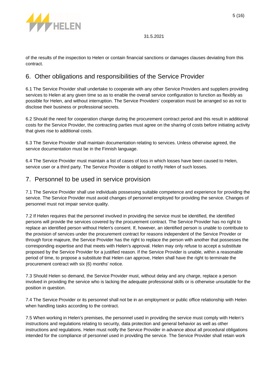

of the results of the inspection to Helen or contain financial sanctions or damages clauses deviating from this contract.

### 6. Other obligations and responsibilities of the Service Provider

6.1 The Service Provider shall undertake to cooperate with any other Service Providers and suppliers providing services to Helen at any given time so as to enable the overall service configuration to function as flexibly as possible for Helen, and without interruption. The Service Providers' cooperation must be arranged so as not to disclose their business or professional secrets.

6.2 Should the need for cooperation change during the procurement contract period and this result in additional costs for the Service Provider, the contracting parties must agree on the sharing of costs before initiating activity that gives rise to additional costs.

6.3 The Service Provider shall maintain documentation relating to services. Unless otherwise agreed, the service documentation must be in the Finnish language.

6.4 The Service Provider must maintain a list of cases of loss in which losses have been caused to Helen, service user or a third party. The Service Provider is obliged to notify Helen of such losses.

### 7. Personnel to be used in service provision

7.1 The Service Provider shall use individuals possessing suitable competence and experience for providing the service. The Service Provider must avoid changes of personnel employed for providing the service. Changes of personnel must not impair service quality.

7.2 If Helen requires that the personnel involved in providing the service must be identified, the identified persons will provide the services covered by the procurement contract. The Service Provider has no right to replace an identified person without Helen's consent. If, however, an identified person is unable to contribute to the provision of services under the procurement contract for reasons independent of the Service Provider or through force majeure, the Service Provider has the right to replace the person with another that possesses the corresponding expertise and that meets with Helen's approval. Helen may only refuse to accept a substitute proposed by the Service Provider for a justified reason. If the Service Provider is unable, within a reasonable period of time, to propose a substitute that Helen can approve, Helen shall have the right to terminate the procurement contract with six (6) months' notice.

7.3 Should Helen so demand, the Service Provider must, without delay and any charge, replace a person involved in providing the service who is lacking the adequate professional skills or is otherwise unsuitable for the position in question.

7.4 The Service Provider or its personnel shall not be in an employment or public office relationship with Helen when handling tasks according to the contract.

7.5 When working in Helen's premises, the personnel used in providing the service must comply with Helen's instructions and regulations relating to security, data protection and general behavior as well as other instructions and regulations. Helen must notify the Service Provider in advance about all procedural obligations intended for the compliance of personnel used in providing the service. The Service Provider shall retain work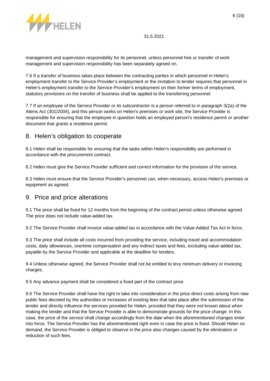

management and supervision responsibility for its personnel, unless personnel hire or transfer of work management and supervision responsibility has been separately agreed on.

7.6 If a transfer of business takes place between the contracting parties in which personnel in Helen's employment transfer to the Service Provider's employment or the invitation to tender requires that personnel in Helen's employment transfer to the Service Provider's employment on their former terms of employment, statutory provisions on the transfer of business shall be applied to the transferring personnel.

7.7 If an employee of the Service Provider or its subcontractor is a person referred to in paragraph 3(2a) of the Aliens Act (301/2004), and this person works on Helen's premises or work site, the Service Provider is responsible for ensuring that the employee in question holds an employed person's residence permit or another document that grants a residence permit.

### 8. Helen's obligation to cooperate

8.1 Helen shall be responsible for ensuring that the tasks within Helen's responsibility are performed in accordance with the procurement contract.

8.2 Helen must give the Service Provider sufficient and correct information for the provision of the service.

8.3 Helen must ensure that the Service Provider's personnel can, when necessary, access Helen's premises or equipment as agreed.

### 9. Price and price alterations

9.1 The price shall be fixed for 12 months from the beginning of the contract period unless otherwise agreed. The price does not include value-added tax.

9.2 The Service Provider shall invoice value-added tax in accordance with the Value-Added Tax Act in force.

9.3 The price shall include all costs incurred from providing the service, including travel and accommodation costs, daily allowances, overtime compensation and any indirect taxes and fees, excluding value-added tax, payable by the Service Provider and applicable at the deadline for tenders.

9.4 Unless otherwise agreed, the Service Provider shall not be entitled to levy minimum delivery or invoicing charges.

9.5 Any advance payment shall be considered a fixed part of the contract price.

9.6 The Service Provider shall have the right to take into consideration in the price direct costs arising from new public fees decreed by the authorities or increases of existing fees that take place after the submission of the tender and directly influence the services provided for Helen, provided that they were not known about when making the tender and that the Service Provider is able to demonstrate grounds for the price change. In this case, the price of the service shall change accordingly from the date when the aforementioned changes enter into force. The Service Provider has the aforementioned right even in case the price is fixed. Should Helen so demand, the Service Provider is obliged to observe in the price also changes caused by the elimination or reduction of such fees.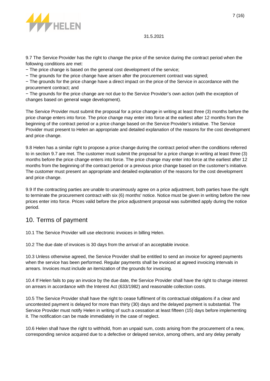

9.7 The Service Provider has the right to change the price of the service during the contract period when the following conditions are met:

− The price change is based on the general cost development of the service;

− The grounds for the price change have arisen after the procurement contract was signed;

− The grounds for the price change have a direct impact on the price of the Service in accordance with the procurement contract; and

− The grounds for the price change are not due to the Service Provider's own action (with the exception of changes based on general wage development).

The Service Provider must submit the proposal for a price change in writing at least three (3) months before the price change enters into force. The price change may enter into force at the earliest after 12 months from the beginning of the contract period or a price change based on the Service Provider's initiative. The Service Provider must present to Helen an appropriate and detailed explanation of the reasons for the cost development and price change.

9.8 Helen has a similar right to propose a price change during the contract period when the conditions referred to in section 9.7 are met. The customer must submit the proposal for a price change in writing at least three (3) months before the price change enters into force. The price change may enter into force at the earliest after 12 months from the beginning of the contract period or a previous price change based on the customer's initiative. The customer must present an appropriate and detailed explanation of the reasons for the cost development and price change.

9.9 If the contracting parties are unable to unanimously agree on a price adjustment, both parties have the right to terminate the procurement contract with six (6) months' notice. Notice must be given in writing before the new prices enter into force. Prices valid before the price adjustment proposal was submitted apply during the notice period.

### 10. Terms of payment

10.1 The Service Provider will use electronic invoices in billing Helen.

10.2 The due date of invoices is 30 days from the arrival of an acceptable invoice.

10.3 Unless otherwise agreed, the Service Provider shall be entitled to send an invoice for agreed payments when the service has been performed. Regular payments shall be invoiced at agreed invoicing intervals in arrears. Invoices must include an itemization of the grounds for invoicing.

10.4 If Helen fails to pay an invoice by the due date, the Service Provider shall have the right to charge interest on arrears in accordance with the Interest Act (633/1982) and reasonable collection costs.

10.5 The Service Provider shall have the right to cease fulfilment of its contractual obligations if a clear and uncontested payment is delayed for more than thirty (30) days and the delayed payment is substantial. The Service Provider must notify Helen in writing of such a cessation at least fifteen (15) days before implementing it. The notification can be made immediately in the case of neglect.

10.6 Helen shall have the right to withhold, from an unpaid sum, costs arising from the procurement of a new, corresponding service acquired due to a defective or delayed service, among others, and any delay penalty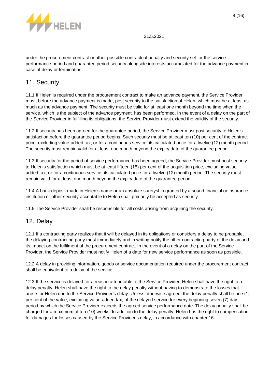

under the procurement contract or other possible contractual penalty and security set for the service performance period and guarantee period security alongside interests accumulated for the advance payment in case of delay or termination.

### 11. Security

11.1 If Helen is required under the procurement contract to make an advance payment, the Service Provider must, before the advance payment is made, post security to the satisfaction of Helen, which must be at least as much as the advance payment. The security must be valid for at least one month beyond the time when the service, which is the subject of the advance payment, has been performed. In the event of a delay on the part of the Service Provider in fulfilling its obligations, the Service Provider must extend the validity of the security.

11.2 If security has been agreed for the guarantee period, the Service Provider must post security to Helen's satisfaction before the guarantee period begins. Such security must be at least ten (10) per cent of the contract price, excluding value-added tax, or for a continuous service, its calculated price for a twelve (12) month period. The security must remain valid for at least one month beyond the expiry date of the guarantee period.

11.3 If security for the period of service performance has been agreed, the Service Provider must post security to Helen's satisfaction which must be at least fifteen (15) per cent of the acquisition price, excluding valueadded tax, or for a continuous service, its calculated price for a twelve (12) month period. The security must remain valid for at least one month beyond the expiry date of the guarantee period.

11.4 A bank deposit made in Helen's name or an absolute suretyship granted by a sound financial or insurance institution or other security acceptable to Helen shall primarily be accepted as security.

11.5 The Service Provider shall be responsible for all costs arising from acquiring the security.

# 12. Delay

12.1 If a contracting party realizes that it will be delayed in its obligations or considers a delay to be probable, the delaying contracting party must immediately and in writing notify the other contracting party of the delay and its impact on the fulfilment of the procurement contract. In the event of a delay on the part of the Service Provider, the Service Provider must notify Helen of a date for new service performance as soon as possible.

12.2 A delay in providing information, goods or service documentation required under the procurement contract shall be equivalent to a delay of the service.

12.3 If the service is delayed for a reason attributable to the Service Provider, Helen shall have the right to a delay penalty. Helen shall have the right to the delay penalty without having to demonstrate the losses that arose for Helen due to the Service Provider's delay. Unless otherwise agreed, the delay penalty shall be one (1) per cent of the value, excluding value-added tax, of the delayed service for every beginning seven (7) day period by which the Service Provider exceeds the agreed service performance date. The delay penalty shall be charged for a maximum of ten (10) weeks. In addition to the delay penalty, Helen has the right to compensation for damages for losses caused by the Service Provider's delay, in accordance with chapter 16.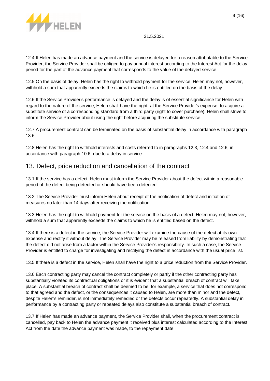

12.4 If Helen has made an advance payment and the service is delayed for a reason attributable to the Service Provider, the Service Provider shall be obliged to pay annual interest according to the Interest Act for the delay period for the part of the advance payment that corresponds to the value of the delayed service.

12.5 On the basis of delay, Helen has the right to withhold payment for the service. Helen may not, however, withhold a sum that apparently exceeds the claims to which he is entitled on the basis of the delay.

12.6 If the Service Provider's performance is delayed and the delay is of essential significance for Helen with regard to the nature of the service, Helen shall have the right, at the Service Provider's expense, to acquire a substitute service of a corresponding standard from a third party (right to cover purchase). Helen shall strive to inform the Service Provider about using the right before acquiring the substitute service.

12.7 A procurement contract can be terminated on the basis of substantial delay in accordance with paragraph 13.6.

12.8 Helen has the right to withhold interests and costs referred to in paragraphs 12.3, 12.4 and 12.6, in accordance with paragraph 10.6, due to a delay in service.

### 13. Defect, price reduction and cancellation of the contract

13.1 If the service has a defect, Helen must inform the Service Provider about the defect within a reasonable period of the defect being detected or should have been detected.

13.2 The Service Provider must inform Helen about receipt of the notification of defect and initiation of measures no later than 14 days after receiving the notification.

13.3 Helen has the right to withhold payment for the service on the basis of a defect. Helen may not, however, withhold a sum that apparently exceeds the claims to which he is entitled based on the defect.

13.4 If there is a defect in the service, the Service Provider will examine the cause of the defect at its own expense and rectify it without delay. The Service Provider may be released from liability by demonstrating that the defect did not arise from a factor within the Service Provider's responsibility. In such a case, the Service Provider is entitled to charge for investigating and rectifying the defect in accordance with the usual price list.

13.5 If there is a defect in the service, Helen shall have the right to a price reduction from the Service Provider.

13.6 Each contracting party may cancel the contract completely or partly if the other contracting party has substantially violated its contractual obligations or it is evident that a substantial breach of contract will take place. A substantial breach of contract shall be deemed to be, for example, a service that does not correspond to that agreed and the defect, or the consequences it caused to Helen, are more than minor and the defect, despite Helen's reminder, is not immediately remedied or the defects occur repeatedly. A substantial delay in performance by a contracting party or repeated delays also constitute a substantial breach of contract.

13.7 If Helen has made an advance payment, the Service Provider shall, when the procurement contract is cancelled, pay back to Helen the advance payment it received plus interest calculated according to the Interest Act from the date the advance payment was made, to the repayment date.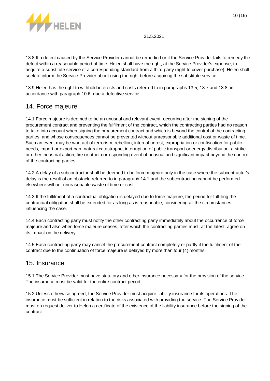

13.8 If a defect caused by the Service Provider cannot be remedied or if the Service Provider fails to remedy the defect within a reasonable period of time, Helen shall have the right, at the Service Provider's expense, to acquire a substitute service of a corresponding standard from a third party (right to cover purchase). Helen shall seek to inform the Service Provider about using the right before acquiring the substitute service.

13.9 Helen has the right to withhold interests and costs referred to in paragraphs 13.5, 13.7 and 13.8, in accordance with paragraph 10.6, due a defective service.

### 14. Force majeure

14.1 Force majeure is deemed to be an unusual and relevant event, occurring after the signing of the procurement contract and preventing the fulfilment of the contract, which the contracting parties had no reason to take into account when signing the procurement contract and which is beyond the control of the contracting parties, and whose consequences cannot be prevented without unreasonable additional cost or waste of time. Such an event may be war, act of terrorism, rebellion, internal unrest, expropriation or confiscation for public needs, import or export ban, natural catastrophe, interruption of public transport or energy distribution, a strike or other industrial action, fire or other corresponding event of unusual and significant impact beyond the control of the contracting parties.

14.2 A delay of a subcontractor shall be deemed to be force majeure only in the case where the subcontractor's delay is the result of an obstacle referred to in paragraph 14.1 and the subcontracting cannot be performed elsewhere without unreasonable waste of time or cost.

14.3 If the fulfilment of a contractual obligation is delayed due to force majeure, the period for fulfilling the contractual obligation shall be extended for as long as is reasonable, considering all the circumstances influencing the case.

14.4 Each contracting party must notify the other contracting party immediately about the occurrence of force majeure and also when force majeure ceases, after which the contracting parties must, at the latest, agree on its impact on the delivery.

14.5 Each contracting party may cancel the procurement contract completely or partly if the fulfilment of the contract due to the continuation of force majeure is delayed by more than four (4) months.

### 15. Insurance

15.1 The Service Provider must have statutory and other insurance necessary for the provision of the service. The insurance must be valid for the entire contract period.

15.2 Unless otherwise agreed, the Service Provider must acquire liability insurance for its operations. The insurance must be sufficient in relation to the risks associated with providing the service. The Service Provider must on request deliver to Helen a certificate of the existence of the liability insurance before the signing of the contract.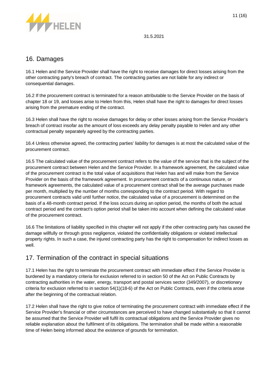

### 16. Damages

16.1 Helen and the Service Provider shall have the right to receive damages for direct losses arising from the other contracting party's breach of contract. The contracting parties are not liable for any indirect or consequential damages.

16.2 If the procurement contract is terminated for a reason attributable to the Service Provider on the basis of chapter 18 or 19, and losses arise to Helen from this, Helen shall have the right to damages for direct losses arising from the premature ending of the contract.

16.3 Helen shall have the right to receive damages for delay or other losses arising from the Service Provider's breach of contract insofar as the amount of loss exceeds any delay penalty payable to Helen and any other contractual penalty separately agreed by the contracting parties.

16.4 Unless otherwise agreed, the contracting parties' liability for damages is at most the calculated value of the procurement contract.

16.5 The calculated value of the procurement contract refers to the value of the service that is the subject of the procurement contract between Helen and the Service Provider. In a framework agreement, the calculated value of the procurement contract is the total value of acquisitions that Helen has and will make from the Service Provider on the basis of the framework agreement. In procurement contracts of a continuous nature, or framework agreements, the calculated value of a procurement contract shall be the average purchases made per month, multiplied by the number of months corresponding to the contract period. With regard to procurement contracts valid until further notice, the calculated value of a procurement is determined on the basis of a 48-month contract period. If the loss occurs during an option period, the months of both the actual contract period and the contract's option period shall be taken into account when defining the calculated value of the procurement contract.

16.6 The limitations of liability specified in this chapter will not apply if the other contracting party has caused the damage willfully or through gross negligence, violated the confidentiality obligations or violated intellectual property rights. In such a case, the injured contracting party has the right to compensation for indirect losses as well.

# 17. Termination of the contract in special situations

17.1 Helen has the right to terminate the procurement contract with immediate effect if the Service Provider is burdened by a mandatory criteria for exclusion referred to in section 50 of the Act on Public Contracts by contracting authorities in the water, energy, transport and postal services sector (349/2007), or discretionary criteria for exclusion referred to in section 54(1)(18-6) of the Act on Public Contracts, even if the criteria arose after the beginning of the contractual relation.

17.2 Helen shall have the right to give notice of terminating the procurement contract with immediate effect if the Service Provider's financial or other circumstances are perceived to have changed substantially so that it cannot be assumed that the Service Provider will fulfil its contractual obligations and the Service Provider gives no reliable explanation about the fulfilment of its obligations. The termination shall be made within a reasonable time of Helen being informed about the existence of grounds for termination.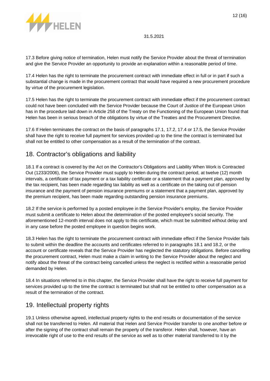

17.3 Before giving notice of termination, Helen must notify the Service Provider about the threat of termination and give the Service Provider an opportunity to provide an explanation within a reasonable period of time.

17.4 Helen has the right to terminate the procurement contract with immediate effect in full or in part if such a substantial change is made in the procurement contract that would have required a new procurement procedure by virtue of the procurement legislation.

17.5 Helen has the right to terminate the procurement contract with immediate effect if the procurement contract could not have been concluded with the Service Provider because the Court of Justice of the European Union has in the procedure laid down in Article 258 of the Treaty on the Functioning of the European Union found that Helen has been in serious breach of the obligations by virtue of the Treaties and the Procurement Directive.

17.6 If Helen terminates the contract on the basis of paragraphs 17.1, 17.2, 17.4 or 17.5, the Service Provider shall have the right to receive full payment for services provided up to the time the contract is terminated but shall not be entitled to other compensation as a result of the termination of the contract.

# 18. Contractor's obligations and liability

18.1 If a contract is covered by the Act on the Contractor's Obligations and Liability When Work is Contracted Out (1233/2006), the Service Provider must supply to Helen during the contract period, at twelve (12) month intervals, a certificate of tax payment or a tax liability certificate or a statement that a payment plan, approved by the tax recipient, has been made regarding tax liability as well as a certificate on the taking out of pension insurance and the payment of pension insurance premiums or a statement that a payment plan, approved by the premium recipient, has been made regarding outstanding pension insurance premiums.

18.2 If the service is performed by a posted employee in the Service Provider's employ, the Service Provider must submit a certificate to Helen about the determination of the posted employee's social security. The aforementioned 12-month interval does not apply to this certificate, which must be submitted without delay and in any case before the posted employee in question begins work.

18.3 Helen has the right to terminate the procurement contract with immediate effect if the Service Provider fails to submit within the deadline the accounts and certificates referred to in paragraphs 18.1 and 18.2, or the account or certificate reveals that the Service Provider has neglected the statutory obligations. Before cancelling the procurement contract, Helen must make a claim in writing to the Service Provider about the neglect and notify about the threat of the contract being cancelled unless the neglect is rectified within a reasonable period demanded by Helen.

18.4 In situations referred to in this chapter, the Service Provider shall have the right to receive full payment for services provided up to the time the contract is terminated but shall not be entitled to other compensation as a result of the termination of the contract.

# 19. Intellectual property rights

19.1 Unless otherwise agreed, intellectual property rights to the end results or documentation of the service shall not be transferred to Helen. All material that Helen and Service Provider transfer to one another before or after the signing of the contract shall remain the property of the transferor. Helen shall, however, have an irrevocable right of use to the end results of the service as well as to other material transferred to it by the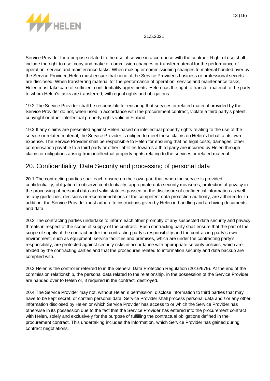

Service Provider for a purpose related to the use of service in accordance with the contract. Right of use shall include the right to use, copy and make or commission changes or transfer material for the performance of operation, service and maintenance tasks. When making or commissioning changes to material handed over by the Service Provider, Helen must ensure that none of the Service Provider's business or professional secrets are disclosed. When transferring material for the performance of operation, service and maintenance tasks, Helen must take care of sufficient confidentiality agreements. Helen has the right to transfer material to the party to whom Helen's tasks are transferred, with equal rights and obligations.

19.2 The Service Provider shall be responsible for ensuring that services or related material provided by the Service Provider do not, when used in accordance with the procurement contract, violate a third party's patent, copyright or other intellectual property rights valid in Finland.

19.3 If any claims are presented against Helen based on intellectual property rights relating to the use of the service or related material, the Service Provider is obliged to meet these claims on Helen's behalf at its own expense. The Service Provider shall be responsible to Helen for ensuring that no legal costs, damages, other compensation payable to a third party or other liabilities towards a third party are incurred by Helen through claims or obligations arising from intellectual property rights relating to the services or related material.

# 20. Confidentiality, Data Security and processing of personal data

20.1 The contracting parties shall each ensure on their own part that, when the service is provided, confidentiality, obligation to observe confidentiality, appropriate data security measures, protection of privacy in the processing of personal data and valid statutes passed on the disclosure of confidential information as well as any guidelines, decisions or recommendations of the competent data protection authority, are adhered to. In addition, the Service Provider must adhere to instructions given by Helen in handling and archiving documents and data.

20.2 The contracting parties undertake to inform each other promptly of any suspected data security and privacy threats in respect of the scope of supply of the contract. Each contracting party shall ensure that the part of the scope of supply of the contract under the contracting party's responsibility and the contracting party's own environment, such as equipment, service facilities and premises, which are under the contracting party's responsibility, are protected against security risks in accordance with appropriate security policies, which are abided by the contracting parties and that the procedures related to information security and data backup are complied with.

20.3 Helen is the controller referred to in the General Data Protection Regulation (2016/679). At the end of the commission relationship, the personal data related to the relationship, in the possession of the Service Provider, are handed over to Helen or, if required in the contract, destroyed.

20.4 The Service Provider may not, without Helen`s permission, disclose information to third parties that may have to be kept secret, or contain personal data. Service Provider shall process personal data and / or any other information disclosed by Helen or which Service Provider has access to or which the Service Provider has otherwise in its possession due to the fact that the Service Provider has entered into the procurement contract with Helen, solely and exclusively for the purpose of fulfilling the contractual obligations defined in the procurement contract. This undertaking includes the information, which Service Provider has gained during contract negotiations.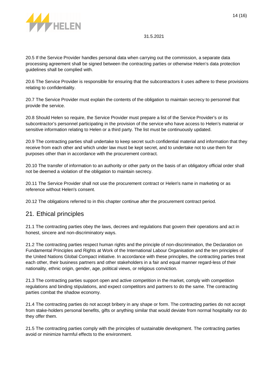

20.5 If the Service Provider handles personal data when carrying out the commission, a separate data processing agreement shall be signed between the contracting parties or otherwise Helen's data protection guidelines shall be complied with.

20.6 The Service Provider is responsible for ensuring that the subcontractors it uses adhere to these provisions relating to confidentiality.

20.7 The Service Provider must explain the contents of the obligation to maintain secrecy to personnel that provide the service.

20.8 Should Helen so require, the Service Provider must prepare a list of the Service Provider's or its subcontractor's personnel participating in the provision of the service who have access to Helen's material or sensitive information relating to Helen or a third party. The list must be continuously updated.

20.9 The contracting parties shall undertake to keep secret such confidential material and information that they receive from each other and which under law must be kept secret, and to undertake not to use them for purposes other than in accordance with the procurement contract.

20.10 The transfer of information to an authority or other party on the basis of an obligatory official order shall not be deemed a violation of the obligation to maintain secrecy.

20.11 The Service Provider shall not use the procurement contract or Helen's name in marketing or as reference without Helen's consent.

20.12 The obligations referred to in this chapter continue after the procurement contract period.

### 21. Ethical principles

21.1 The contracting parties obey the laws, decrees and regulations that govern their operations and act in honest, sincere and non-discriminatory ways.

21.2 The contracting parties respect human rights and the principle of non-discrimination, the Declaration on Fundamental Principles and Rights at Work of the International Labour Organisation and the ten principles of the United Nations Global Compact initiative. In accordance with these principles, the contracting parties treat each other, their business partners and other stakeholders in a fair and equal manner regard-less of their nationality, ethnic origin, gender, age, political views, or religious conviction.

21.3 The contracting parties support open and active competition in the market, comply with competition regulations and binding stipulations, and expect competitors and partners to do the same. The contracting parties combat the shadow economy.

21.4 The contracting parties do not accept bribery in any shape or form. The contracting parties do not accept from stake-holders personal benefits, gifts or anything similar that would deviate from normal hospitality nor do they offer them.

21.5 The contracting parties comply with the principles of sustainable development. The contracting parties avoid or minimize harmful effects to the environment.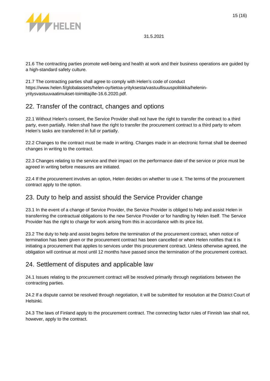

21.6 The contracting parties promote well-being and health at work and their business operations are guided by a high-standard safety culture.

21.7 The contracting parties shall agree to comply with Helen's code of conduct https://www.helen.fi/globalassets/helen-oy/tietoa-yrityksesta/vastuullisuuspolitiikka/heleninyritysvastuuvaatimukset-toimittajille-16.6.2020.pdf.

# 22. Transfer of the contract, changes and options

22.1 Without Helen's consent, the Service Provider shall not have the right to transfer the contract to a third party, even partially. Helen shall have the right to transfer the procurement contract to a third party to whom Helen's tasks are transferred in full or partially.

22.2 Changes to the contract must be made in writing. Changes made in an electronic format shall be deemed changes in writing to the contract.

22.3 Changes relating to the service and their impact on the performance date of the service or price must be agreed in writing before measures are initiated.

22.4 If the procurement involves an option, Helen decides on whether to use it. The terms of the procurement contract apply to the option.

### 23. Duty to help and assist should the Service Provider change

23.1 In the event of a change of Service Provider, the Service Provider is obliged to help and assist Helen in transferring the contractual obligations to the new Service Provider or for handling by Helen itself. The Service Provider has the right to charge for work arising from this in accordance with its price list.

23.2 The duty to help and assist begins before the termination of the procurement contract, when notice of termination has been given or the procurement contract has been cancelled or when Helen notifies that it is initiating a procurement that applies to services under this procurement contract. Unless otherwise agreed, the obligation will continue at most until 12 months have passed since the termination of the procurement contract.

# 24. Settlement of disputes and applicable law

24.1 Issues relating to the procurement contract will be resolved primarily through negotiations between the contracting parties.

24.2 If a dispute cannot be resolved through negotiation, it will be submitted for resolution at the District Court of Helsinki.

24.3 The laws of Finland apply to the procurement contract. The connecting factor rules of Finnish law shall not, however, apply to the contract.